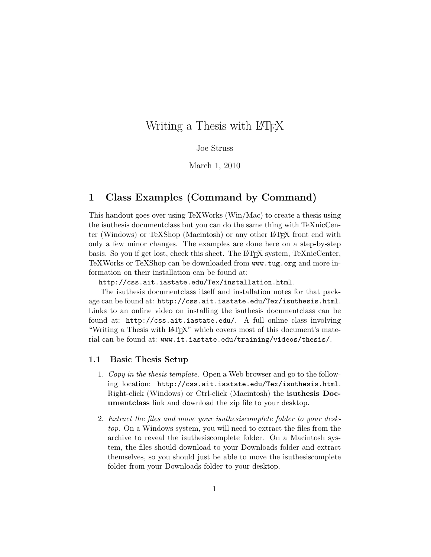# Writing a Thesis with LAT<sub>EX</sub>

#### Joe Struss

March 1, 2010

### 1 Class Examples (Command by Command)

This handout goes over using TeXWorks (Win/Mac) to create a thesis using the isuthesis documentclass but you can do the same thing with TeXnicCenter (Windows) or TeXShop (Macintosh) or any other LATEX front end with only a few minor changes. The examples are done here on a step-by-step basis. So you if get lost, check this sheet. The LAT<sub>E</sub>X system, TeXnicCenter, TeXWorks or TeXShop can be downloaded from www.tug.org and more information on their installation can be found at:

http://css.ait.iastate.edu/Tex/installation.html.

The isuthesis documentclass itself and installation notes for that package can be found at: http://css.ait.iastate.edu/Tex/isuthesis.html. Links to an online video on installing the isuthesis documentclass can be found at: http://css.ait.iastate.edu/. A full online class involving "Writing a Thesis with LAT<sub>EX</sub>" which covers most of this document's material can be found at: www.it.iastate.edu/training/videos/thesis/.

#### 1.1 Basic Thesis Setup

- 1. Copy in the thesis template. Open a Web browser and go to the following location: http://css.ait.iastate.edu/Tex/isuthesis.html. Right-click (Windows) or Ctrl-click (Macintosh) the isuthesis Documentclass link and download the zip file to your desktop.
- 2. Extract the files and move your isuthesiscomplete folder to your desktop. On a Windows system, you will need to extract the files from the archive to reveal the isuthesiscomplete folder. On a Macintosh system, the files should download to your Downloads folder and extract themselves, so you should just be able to move the isuthesiscomplete folder from your Downloads folder to your desktop.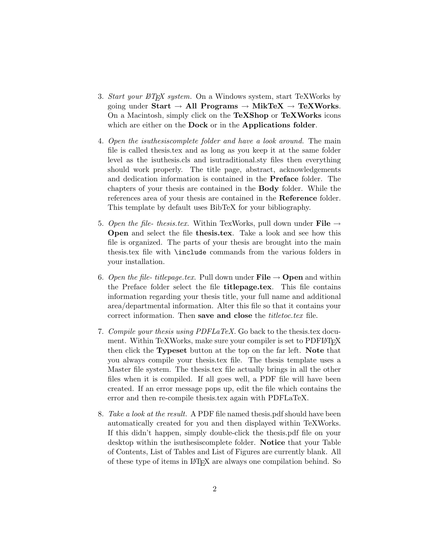- 3. Start your  $\mathbb{H}T_F X$  system. On a Windows system, start TeXWorks by going under Start  $\rightarrow$  All Programs  $\rightarrow$  MikTeX  $\rightarrow$  TeXWorks. On a Macintosh, simply click on the TeXShop or TeXWorks icons which are either on the **Dock** or in the **Applications folder**.
- 4. Open the isuthesiscomplete folder and have a look around. The main file is called thesis.tex and as long as you keep it at the same folder level as the isuthesis.cls and isutraditional.sty files then everything should work properly. The title page, abstract, acknowledgements and dedication information is contained in the Preface folder. The chapters of your thesis are contained in the Body folder. While the references area of your thesis are contained in the Reference folder. This template by default uses BibTeX for your bibliography.
- 5. Open the file-thesis.tex. Within TexWorks, pull down under File  $\rightarrow$ Open and select the file thesis.tex. Take a look and see how this file is organized. The parts of your thesis are brought into the main thesis.tex file with \include commands from the various folders in your installation.
- 6. Open the file- titlepage.tex. Pull down under  $\textbf{File} \rightarrow \textbf{Open}$  and within the Preface folder select the file titlepage.tex. This file contains information regarding your thesis title, your full name and additional area/departmental information. Alter this file so that it contains your correct information. Then save and close the *titletoc.tex* file.
- 7. Compile your thesis using PDFLaTeX. Go back to the thesis.tex document. Within TeXWorks, make sure your compiler is set to PDFLATEX then click the Typeset button at the top on the far left. Note that you always compile your thesis.tex file. The thesis template uses a Master file system. The thesis.tex file actually brings in all the other files when it is compiled. If all goes well, a PDF file will have been created. If an error message pops up, edit the file which contains the error and then re-compile thesis.tex again with PDFLaTeX.
- 8. Take a look at the result. A PDF file named thesis.pdf should have been automatically created for you and then displayed within TeXWorks. If this didn't happen, simply double-click the thesis.pdf file on your desktop within the isuthesiscomplete folder. Notice that your Table of Contents, List of Tables and List of Figures are currently blank. All of these type of items in LATEX are always one compilation behind. So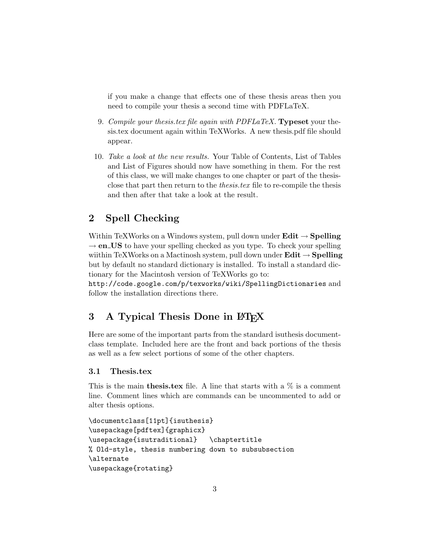if you make a change that effects one of these thesis areas then you need to compile your thesis a second time with PDFLaTeX.

- 9. Compile your thesis.tex file again with  $PDFLaTeX$ . Typeset your thesis.tex document again within TeXWorks. A new thesis.pdf file should appear.
- 10. Take a look at the new results. Your Table of Contents, List of Tables and List of Figures should now have something in them. For the rest of this class, we will make changes to one chapter or part of the thesisclose that part then return to the *thesis.tex* file to re-compile the thesis and then after that take a look at the result.

## 2 Spell Checking

Within TeXWorks on a Windows system, pull down under  $\textbf{Edit} \rightarrow \textbf{Spelling}$  $\rightarrow$  en US to have your spelling checked as you type. To check your spelling wiithin TeXWorks on a Mactinosh system, pull down under  $Edit \rightarrow Spelling$ but by default no standard dictionary is installed. To install a standard dictionary for the Macintosh version of TeXWorks go to:

http://code.google.com/p/texworks/wiki/SpellingDictionaries and follow the installation directions there.

## 3 A Typical Thesis Done in LAT<sub>EX</sub>

Here are some of the important parts from the standard isuthesis documentclass template. Included here are the front and back portions of the thesis as well as a few select portions of some of the other chapters.

#### 3.1 Thesis.tex

This is the main **thesis.tex** file. A line that starts with a  $\%$  is a comment line. Comment lines which are commands can be uncommented to add or alter thesis options.

```
\documentclass[11pt]{isuthesis}
\usepackage[pdftex]{graphicx}
\usepackage{isutraditional} \chaptertitle
% Old-style, thesis numbering down to subsubsection
\alternate
\usepackage{rotating}
```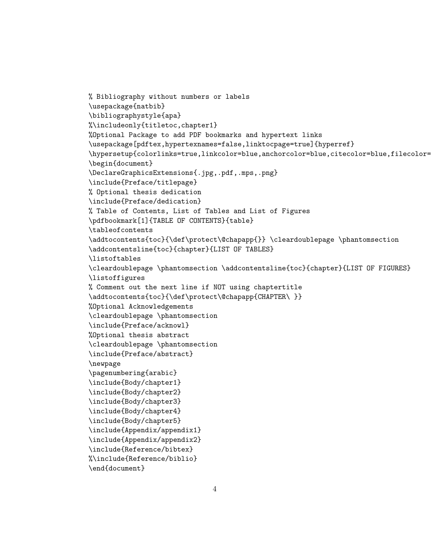```
% Bibliography without numbers or labels
\usepackage{natbib}
\bibliographystyle{apa}
%\includeonly{titletoc,chapter1}
%Optional Package to add PDF bookmarks and hypertext links
\usepackage[pdftex,hypertexnames=false,linktocpage=true]{hyperref}
\hypersetup{colorlinks=true,linkcolor=blue,anchorcolor=blue,citecolor=blue,filecolor=
\begin{document}
\DeclareGraphicsExtensions{.jpg,.pdf,.mps,.png}
\include{Preface/titlepage}
% Optional thesis dedication
\include{Preface/dedication}
% Table of Contents, List of Tables and List of Figures
\pdfbookmark[1]{TABLE OF CONTENTS}{table}
\tableofcontents
\addtocontents{toc}{\def\protect\@chapapp{}} \cleardoublepage \phantomsection
\addcontentsline{toc}{chapter}{LIST OF TABLES}
\listoftables
\cleardoublepage \phantomsection \addcontentsline{toc}{chapter}{LIST OF FIGURES}
\listoffigures
% Comment out the next line if NOT using chaptertitle
\addtocontents{toc}{\def\protect\@chapapp{CHAPTER\ }}
%Optional Acknowledgements
\cleardoublepage \phantomsection
\include{Preface/acknowl}
%Optional thesis abstract
\cleardoublepage \phantomsection
\include{Preface/abstract}
\newpage
\pagenumbering{arabic}
\include{Body/chapter1}
\include{Body/chapter2}
\include{Body/chapter3}
\include{Body/chapter4}
\include{Body/chapter5}
\include{Appendix/appendix1}
\include{Appendix/appendix2}
\include{Reference/bibtex}
%\include{Reference/biblio}
\end{document}
```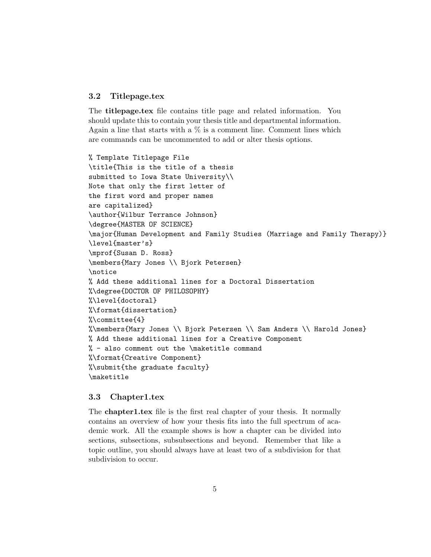#### 3.2 Titlepage.tex

The titlepage.tex file contains title page and related information. You should update this to contain your thesis title and departmental information. Again a line that starts with a  $\%$  is a comment line. Comment lines which are commands can be uncommented to add or alter thesis options.

```
% Template Titlepage File
\title{This is the title of a thesis
submitted to Iowa State University\\
Note that only the first letter of
the first word and proper names
are capitalized}
\author{Wilbur Terrance Johnson}
\degree{MASTER OF SCIENCE}
\major{Human Development and Family Studies (Marriage and Family Therapy)}
\level{master's}
\mprof{Susan D. Ross}
\members{Mary Jones \\ Bjork Petersen}
\notice
% Add these additional lines for a Doctoral Dissertation
%\degree{DOCTOR OF PHILOSOPHY}
%\level{doctoral}
%\format{dissertation}
%\committee{4}
%\members{Mary Jones \\ Bjork Petersen \\ Sam Anders \\ Harold Jones}
% Add these additional lines for a Creative Component
% - also comment out the \maketitle command
%\format{Creative Component}
%\submit{the graduate faculty}
\maketitle
```
#### 3.3 Chapter1.tex

The chapter1.tex file is the first real chapter of your thesis. It normally contains an overview of how your thesis fits into the full spectrum of academic work. All the example shows is how a chapter can be divided into sections, subsections, subsubsections and beyond. Remember that like a topic outline, you should always have at least two of a subdivision for that subdivision to occur.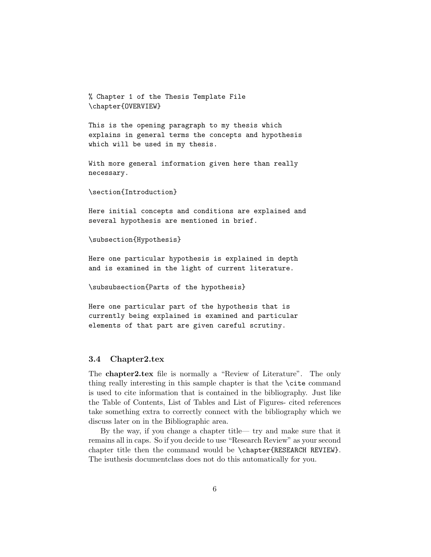% Chapter 1 of the Thesis Template File \chapter{OVERVIEW}

This is the opening paragraph to my thesis which explains in general terms the concepts and hypothesis which will be used in my thesis.

With more general information given here than really necessary.

```
\section{Introduction}
```
Here initial concepts and conditions are explained and several hypothesis are mentioned in brief.

```
\subsection{Hypothesis}
```
Here one particular hypothesis is explained in depth and is examined in the light of current literature.

\subsubsection{Parts of the hypothesis}

Here one particular part of the hypothesis that is currently being explained is examined and particular elements of that part are given careful scrutiny.

#### 3.4 Chapter2.tex

The chapter2.tex file is normally a "Review of Literature". The only thing really interesting in this sample chapter is that the \cite command is used to cite information that is contained in the bibliography. Just like the Table of Contents, List of Tables and List of Figures- cited references take something extra to correctly connect with the bibliography which we discuss later on in the Bibliographic area.

By the way, if you change a chapter title— try and make sure that it remains all in caps. So if you decide to use "Research Review" as your second chapter title then the command would be \chapter{RESEARCH REVIEW}. The isuthesis documentclass does not do this automatically for you.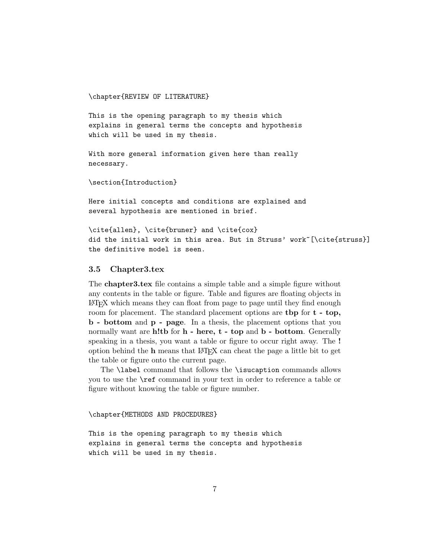\chapter{REVIEW OF LITERATURE}

This is the opening paragraph to my thesis which explains in general terms the concepts and hypothesis which will be used in my thesis.

With more general information given here than really necessary.

\section{Introduction}

Here initial concepts and conditions are explained and several hypothesis are mentioned in brief.

\cite{allen}, \cite{bruner} and \cite{cox} did the initial work in this area. But in Struss' work~[\cite{struss}] the definitive model is seen.

#### 3.5 Chapter3.tex

The chapter3.tex file contains a simple table and a simple figure without any contents in the table or figure. Table and figures are floating objects in LATEX which means they can float from page to page until they find enough room for placement. The standard placement options are **then** for **t** - **top**, b - bottom and p - page. In a thesis, the placement options that you normally want are h!tb for  $h$  - here,  $t$  - top and  $b$  - bottom. Generally speaking in a thesis, you want a table or figure to occur right away. The ! option behind the h means that LATEX can cheat the page a little bit to get the table or figure onto the current page.

The \label command that follows the \isucaption commands allows you to use the \ref command in your text in order to reference a table or figure without knowing the table or figure number.

\chapter{METHODS AND PROCEDURES}

This is the opening paragraph to my thesis which explains in general terms the concepts and hypothesis which will be used in my thesis.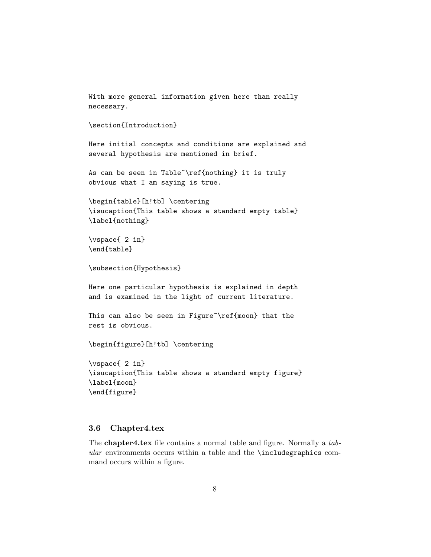```
With more general information given here than really
necessary.
\section{Introduction}
Here initial concepts and conditions are explained and
several hypothesis are mentioned in brief.
As can be seen in Table~\ref{nothing} it is truly
obvious what I am saying is true.
\begin{table}[h!tb] \centering
\isucaption{This table shows a standard empty table}
\label{nothing}
\vspace{ 2 in}
\end{table}
\subsection{Hypothesis}
Here one particular hypothesis is explained in depth
and is examined in the light of current literature.
This can also be seen in Figure<sup>\gamma</sup>ref{moon} that the
rest is obvious.
\begin{figure}[h!tb] \centering
\vspace{ 2 in}
\isucaption{This table shows a standard empty figure}
\label{moon}
\end{figure}
```
#### 3.6 Chapter4.tex

The chapter4.tex file contains a normal table and figure. Normally a tab $ular$  environments occurs within a table and the  $\iota$ includegraphics command occurs within a figure.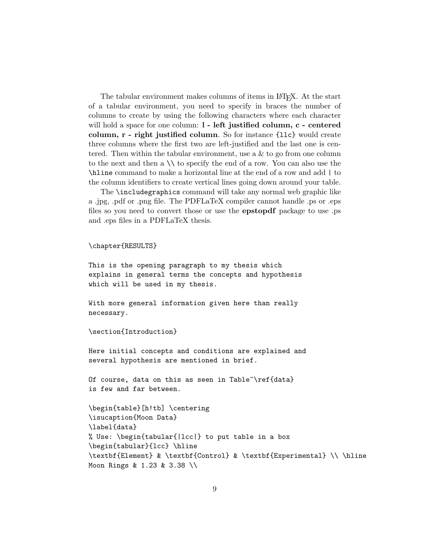The tabular environment makes columns of items in LAT<sub>E</sub>X. At the start of a tabular environment, you need to specify in braces the number of columns to create by using the following characters where each character will hold a space for one column:  $l$  - left justified column,  $c$  - centered column, r - right justified column. So for instance {llc} would create three columns where the first two are left-justified and the last one is centered. Then within the tabular environment, use a  $\&$  to go from one column to the next and then a  $\setminus \setminus$  to specify the end of a row. You can also use the \hline command to make a horizontal line at the end of a row and add | to the column identifiers to create vertical lines going down around your table.

The \includegraphics command will take any normal web graphic like a .jpg, .pdf or .png file. The PDFLaTeX compiler cannot handle .ps or .eps files so you need to convert those or use the epstopdf package to use .ps and .eps files in a PDFLaTeX thesis.

#### \chapter{RESULTS}

This is the opening paragraph to my thesis which explains in general terms the concepts and hypothesis which will be used in my thesis.

With more general information given here than really necessary.

\section{Introduction}

Here initial concepts and conditions are explained and several hypothesis are mentioned in brief.

Of course, data on this as seen in Table~\ref{data} is few and far between.

```
\begin{table}[h!tb] \centering
\isucaption{Moon Data}
\label{data}
% Use: \begin{tabular{|lcc|} to put table in a box
\begin{tabular}{lcc} \hline
\textbf{Element} & \textbf{Control} & \textbf{Experimental} \\ \hline
Moon Rings & 1.23 & 3.38 \\
```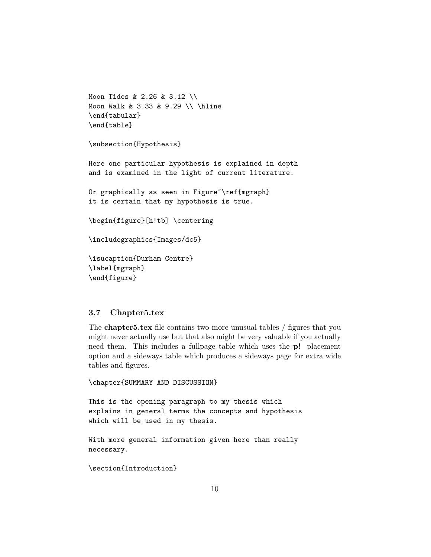```
Moon Tides & 2.26 & 3.12 \\
Moon Walk & 3.33 & 9.29 \\ \hline
\end{tabular}
\end{table}
```

```
\subsection{Hypothesis}
```
Here one particular hypothesis is explained in depth and is examined in the light of current literature.

Or graphically as seen in Figure<sup>~</sup>\ref{mgraph} it is certain that my hypothesis is true.

```
\begin{figure}[h!tb] \centering
```

```
\includegraphics{Images/dc5}
```

```
\isucaption{Durham Centre}
\label{mgraph}
\end{figure}
```
#### 3.7 Chapter5.tex

The chapter5.tex file contains two more unusual tables / figures that you might never actually use but that also might be very valuable if you actually need them. This includes a fullpage table which uses the p! placement option and a sideways table which produces a sideways page for extra wide tables and figures.

```
\chapter{SUMMARY AND DISCUSSION}
```
This is the opening paragraph to my thesis which explains in general terms the concepts and hypothesis which will be used in my thesis.

```
With more general information given here than really
necessary.
```
\section{Introduction}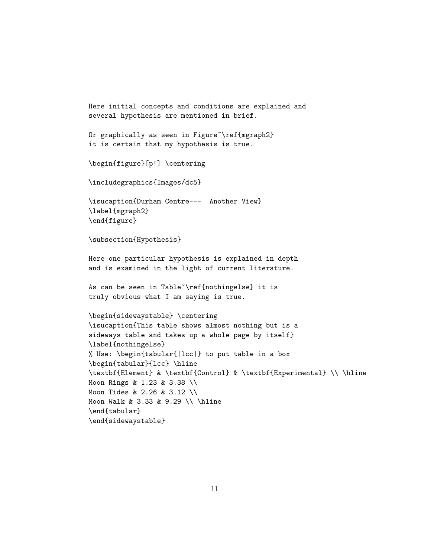```
Here initial concepts and conditions are explained and
several hypothesis are mentioned in brief.
Or graphically as seen in Figure~\ref{mgraph2}
it is certain that my hypothesis is true.
\begin{figure}[p!] \centering
\includegraphics{Images/dc5}
\isucaption{Durham Centre--- Another View}
\label{mgraph2}
\end{figure}
\subsection{Hypothesis}
Here one particular hypothesis is explained in depth
and is examined in the light of current literature.
As can be seen in Table~\ref{nothingelse} it is
truly obvious what I am saying is true.
\begin{sidewaystable} \centering
\isucaption{This table shows almost nothing but is a
sideways table and takes up a whole page by itself}
\label{nothingelse}
% Use: \begin{tabular{|lcc|} to put table in a box
\begin{tabular}{lcc} \hline
\textbf{Element} & \textbf{Control} & \textbf{Experimental} \\ \hline
Moon Rings & 1.23 & 3.38 \\
Moon Tides & 2.26 & 3.12 \\
Moon Walk & 3.33 & 9.29 \\ \hline
\end{tabular}
\end{sidewaystable}
```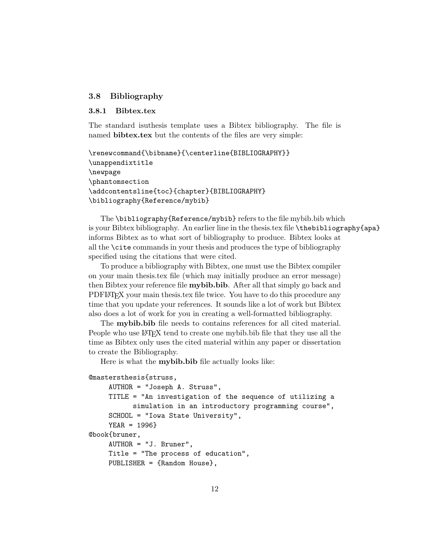#### 3.8 Bibliography

#### 3.8.1 Bibtex.tex

The standard isuthesis template uses a Bibtex bibliography. The file is named **bibtex.tex** but the contents of the files are very simple:

```
\renewcommand{\bibname}{\centerline{BIBLIOGRAPHY}}
\unappendixtitle
\newpage
\phantomsection
\addcontentsline{toc}{chapter}{BIBLIOGRAPHY}
\bibliography{Reference/mybib}
```
The \bibliography{Reference/mybib} refers to the file mybib.bib which is your Bibtex bibliography. An earlier line in the thesis.tex file \thebibliography{apa} informs Bibtex as to what sort of bibliography to produce. Bibtex looks at all the \cite commands in your thesis and produces the type of bibliography specified using the citations that were cited.

To produce a bibliography with Bibtex, one must use the Bibtex compiler on your main thesis.tex file (which may initially produce an error message) then Bibtex your reference file **mybib.bib**. After all that simply go back and PDFLATEX your main thesis.tex file twice. You have to do this procedure any time that you update your references. It sounds like a lot of work but Bibtex also does a lot of work for you in creating a well-formatted bibliography.

The mybib.bib file needs to contains references for all cited material. People who use LAT<sub>EX</sub> tend to create one mybib.bib file that they use all the time as Bibtex only uses the cited material within any paper or dissertation to create the Bibliography.

Here is what the mybib.bib file actually looks like:

```
@mastersthesis{struss,
```

```
AUTHOR = "Joseph A. Struss",
    TITLE = "An investigation of the sequence of utilizing a
           simulation in an introductory programming course",
    SCHOOL = "Iowa State University",
    YEAR = 1996}
@book{bruner,
    AUTHOR = "J. Bruner",
    Title = "The process of education",
    PUBLISHER = {Random House},
```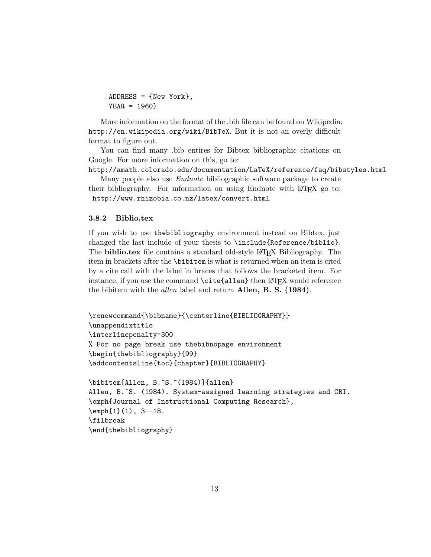```
ADDRESS = {New York},
YEAR = 1960}
```
More information on the format of the .bib file can be found on Wikipedia: http://en.wikipedia.org/wiki/BibTeX. But it is not an overly difficult format to figure out.

You can find many .bib entires for Bibtex bibliographic citations on Google. For more information on this, go to:

```
http://amath.colorado.edu/documentation/LaTeX/reference/faq/bibstyles.html
```
Many people also use Endnote bibliographic software package to create their bibliography. For information on using Endnote with LAT<sub>EX</sub> go to: http://www.rhizobia.co.nz/latex/convert.html

#### 3.8.2 Biblio.tex

\end{thebibliography}

If you wish to use thebibliography environment instead on Bibtex, just changed the last include of your thesis to \include{Reference/biblio}. The **biblio.tex** file contains a standard old-style LAT<sub>EX</sub> Bibliography. The item in brackets after the \bibitem is what is returned when an item is cited by a cite call with the label in braces that follows the bracketed item. For instance, if you use the command  $\text{citeallen}$  then LAT<sub>E</sub>X would reference the bibitem with the *allen* label and return Allen, B. S.  $(1984)$ .

```
\renewcommand{\bibname}{\centerline{BIBLIOGRAPHY}}
\unappendixtitle
\interlinepenalty=300
% For no page break use thebibnopage environment
\begin{thebibliography}{99}
\addcontentsline{toc}{chapter}{BIBLIOGRAPHY}
\bibitem[Allen, B.~S.~(1984)]{allen}
Allen, B.~S. (1984). System-assigned learning strategies and CBI.
\emph{Journal of Instructional Computing Research},
\text{pmf1}(1), 3--18.\filbreak
```
13